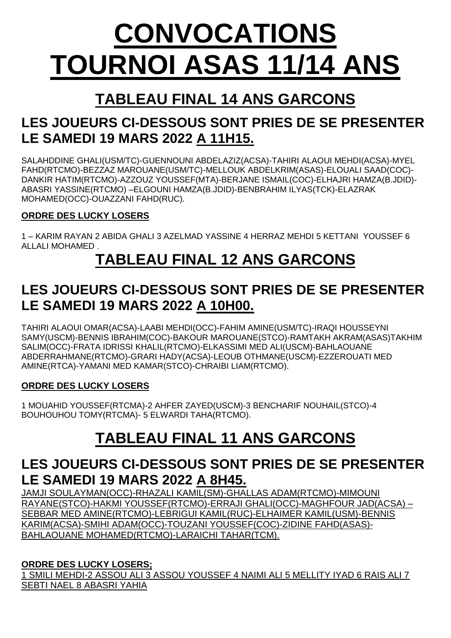# **CONVOCATIONS TOURNOI ASAS 11/14 ANS**

# **TABLEAU FINAL 14 ANS GARCONS**

## **LES JOUEURS CI-DESSOUS SONT PRIES DE SE PRESENTER LE SAMEDI 19 MARS 2022 A 11H15.**

SALAHDDINE GHALI(USM/TC)-GUENNOUNI ABDELAZIZ(ACSA)-TAHIRI ALAOUI MEHDI(ACSA)-MYEL FAHD(RTCMO)-BEZZAZ MAROUANE(USM/TC)-MELLOUK ABDELKRIM(ASAS)-ELOUALI SAAD(COC)- DANKIR HATIM(RTCMO)-AZZOUZ YOUSSEF(MTA)-BERJANE ISMAIL(COC)-ELHAJRI HAMZA(B.JDID)- ABASRI YASSINE(RTCMO) –ELGOUNI HAMZA(B.JDID)-BENBRAHIM ILYAS(TCK)-ELAZRAK MOHAMED(OCC)-OUAZZANI FAHD(RUC).

#### **ORDRE DES LUCKY LOSERS**

1 – KARIM RAYAN 2 ABIDA GHALI 3 AZELMAD YASSINE 4 HERRAZ MEHDI 5 KETTANI YOUSSEF 6 ALLALI MOHAMED .

## **TABLEAU FINAL 12 ANS GARCONS**

## **LES JOUEURS CI-DESSOUS SONT PRIES DE SE PRESENTER LE SAMEDI 19 MARS 2022 A 10H00.**

TAHIRI ALAOUI OMAR(ACSA)-LAABI MEHDI(OCC)-FAHIM AMINE(USM/TC)-IRAQI HOUSSEYNI SAMY(USCM)-BENNIS IBRAHIM(COC)-BAKOUR MAROUANE(STCO)-RAMTAKH AKRAM(ASAS)TAKHIM SALIM(OCC)-FRATA IDRISSI KHALIL(RTCMO)-ELKASSIMI MED ALI(USCM)-BAHLAOUANE ABDERRAHMANE(RTCMO)-GRARI HADY(ACSA)-LEOUB OTHMANE(USCM)-EZZEROUATI MED AMINE(RTCA)-YAMANI MED KAMAR(STCO)-CHRAIBI LIAM(RTCMO).

#### **ORDRE DES LUCKY LOSERS**

1 MOUAHID YOUSSEF(RTCMA)-2 AHFER ZAYED(USCM)-3 BENCHARIF NOUHAIL(STCO)-4 BOUHOUHOU TOMY(RTCMA)- 5 ELWARDI TAHA(RTCMO).

# **TABLEAU FINAL 11 ANS GARCONS**

## **LES JOUEURS CI-DESSOUS SONT PRIES DE SE PRESENTER LE SAMEDI 19 MARS 2022 A 8H45.**

JAMJI SOULAYMAN(OCC)-RHAZALI KAMIL(SM)-GHALLAS ADAM(RTCMO)-MIMOUNI RAYANE(STCO)-HAKMI YOUSSEF(RTCMO)-ERRAJI GHALI(OCC)-MAGHFOUR JAD(ACSA) – SEBBAR MED AMINE(RTCMO)-LEBRIGUI KAMIL(RUC)-ELHAIMER KAMIL(USM)-BENNIS KARIM(ACSA)-SMIHI ADAM(OCC)-TOUZANI YOUSSEF(COC)-ZIDINE FAHD(ASAS)- BAHLAOUANE MOHAMED(RTCMO)-LARAICHI TAHAR(TCM).

#### **ORDRE DES LUCKY LOSERS;**

1 SMILI MEHDI-2 ASSOU ALI 3 ASSOU YOUSSEF 4 NAIMI ALI 5 MELLITY IYAD 6 RAIS ALI 7 SEBTI NAEL 8 ABASRI YAHIA